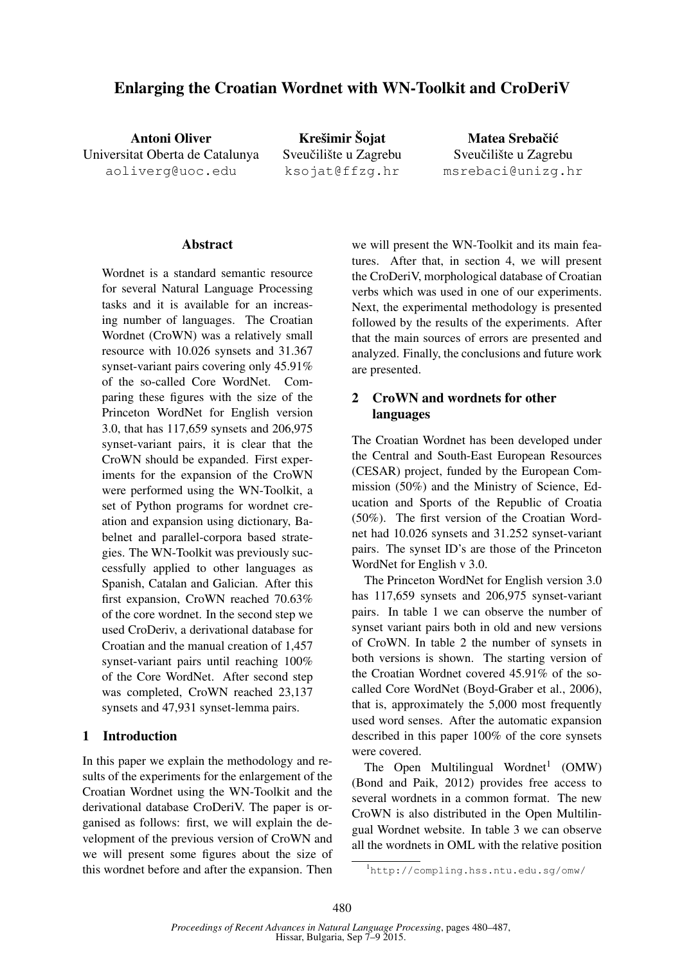# Enlarging the Croatian Wordnet with WN-Toolkit and CroDeriV

Antoni Oliver Universitat Oberta de Catalunya aoliverg@uoc.edu

Krešimir Šojat Sveučilište u Zagrebu ksojat@ffzg.hr

Matea Srebačić Sveučilište u Zagrebu msrebaci@unizg.hr

#### Abstract

Wordnet is a standard semantic resource for several Natural Language Processing tasks and it is available for an increasing number of languages. The Croatian Wordnet (CroWN) was a relatively small resource with 10.026 synsets and 31.367 synset-variant pairs covering only 45.91% of the so-called Core WordNet. Comparing these figures with the size of the Princeton WordNet for English version 3.0, that has 117,659 synsets and 206,975 synset-variant pairs, it is clear that the CroWN should be expanded. First experiments for the expansion of the CroWN were performed using the WN-Toolkit, a set of Python programs for wordnet creation and expansion using dictionary, Babelnet and parallel-corpora based strategies. The WN-Toolkit was previously successfully applied to other languages as Spanish, Catalan and Galician. After this first expansion, CroWN reached 70.63% of the core wordnet. In the second step we used CroDeriv, a derivational database for Croatian and the manual creation of 1,457 synset-variant pairs until reaching 100% of the Core WordNet. After second step was completed, CroWN reached 23,137 synsets and 47,931 synset-lemma pairs.

#### 1 Introduction

In this paper we explain the methodology and results of the experiments for the enlargement of the Croatian Wordnet using the WN-Toolkit and the derivational database CroDeriV. The paper is organised as follows: first, we will explain the development of the previous version of CroWN and we will present some figures about the size of this wordnet before and after the expansion. Then

we will present the WN-Toolkit and its main features. After that, in section 4, we will present the CroDeriV, morphological database of Croatian verbs which was used in one of our experiments. Next, the experimental methodology is presented followed by the results of the experiments. After that the main sources of errors are presented and analyzed. Finally, the conclusions and future work are presented.

## 2 CroWN and wordnets for other languages

The Croatian Wordnet has been developed under the Central and South-East European Resources (CESAR) project, funded by the European Commission (50%) and the Ministry of Science, Education and Sports of the Republic of Croatia (50%). The first version of the Croatian Wordnet had 10.026 synsets and 31.252 synset-variant pairs. The synset ID's are those of the Princeton WordNet for English v 3.0.

The Princeton WordNet for English version 3.0 has 117,659 synsets and 206,975 synset-variant pairs. In table 1 we can observe the number of synset variant pairs both in old and new versions of CroWN. In table 2 the number of synsets in both versions is shown. The starting version of the Croatian Wordnet covered 45.91% of the socalled Core WordNet (Boyd-Graber et al., 2006), that is, approximately the 5,000 most frequently used word senses. After the automatic expansion described in this paper 100% of the core synsets were covered.

The Open Multilingual Wordnet<sup>1</sup> (OMW) (Bond and Paik, 2012) provides free access to several wordnets in a common format. The new CroWN is also distributed in the Open Multilingual Wordnet website. In table 3 we can observe all the wordnets in OML with the relative position

<sup>1</sup>http://compling.hss.ntu.edu.sg/omw/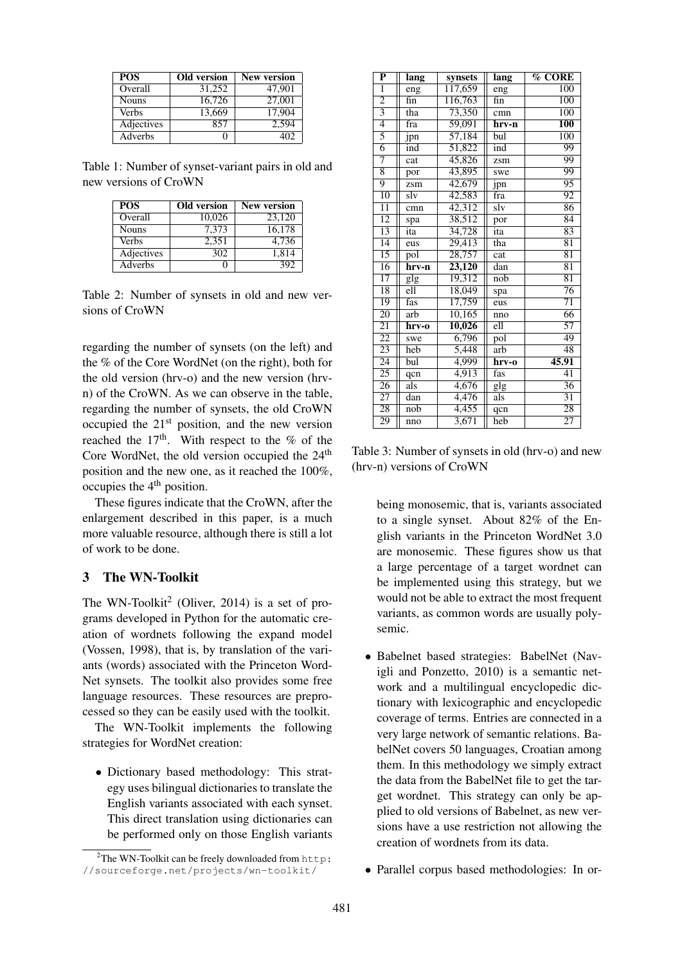| <b>POS</b>   | Old version | <b>New version</b> |
|--------------|-------------|--------------------|
| Overall      | 31.252      | 47.901             |
| <b>Nouns</b> | 16,726      | 27,001             |
| <b>Verbs</b> | 13,669      | 17,904             |
| Adjectives   | 857         | 2.594              |
| Adverbs      |             | 40Z                |

Table 1: Number of synset-variant pairs in old and new versions of CroWN

| <b>POS</b>   | Old version | <b>New version</b> |
|--------------|-------------|--------------------|
| Overall      | 10.026      | 23,120             |
| <b>Nouns</b> | 7.373       | 16,178             |
| Verbs        | 2.351       | 4.736              |
| Adjectives   | 302         | 1.814              |
| Adverbs      |             | 392                |

Table 2: Number of synsets in old and new versions of CroWN

regarding the number of synsets (on the left) and the % of the Core WordNet (on the right), both for the old version (hrv-o) and the new version (hrvn) of the CroWN. As we can observe in the table, regarding the number of synsets, the old CroWN occupied the  $21<sup>st</sup>$  position, and the new version reached the  $17<sup>th</sup>$ . With respect to the % of the Core WordNet, the old version occupied the 24<sup>th</sup> position and the new one, as it reached the 100%, occupies the 4th position.

These figures indicate that the CroWN, after the enlargement described in this paper, is a much more valuable resource, although there is still a lot of work to be done.

## 3 The WN-Toolkit

The WN-Toolkit<sup>2</sup> (Oliver, 2014) is a set of programs developed in Python for the automatic creation of wordnets following the expand model (Vossen, 1998), that is, by translation of the variants (words) associated with the Princeton Word-Net synsets. The toolkit also provides some free language resources. These resources are preprocessed so they can be easily used with the toolkit.

The WN-Toolkit implements the following strategies for WordNet creation:

• Dictionary based methodology: This strategy uses bilingual dictionaries to translate the English variants associated with each synset. This direct translation using dictionaries can be performed only on those English variants

| $\overline{\mathbf{P}}$ | <b>lang</b>       | synsets | <b>lang</b>                     | $\overline{\%$ CORE |
|-------------------------|-------------------|---------|---------------------------------|---------------------|
| $\overline{1}$          | $\overline{e}$ ng | 117,659 | eng                             | $\overline{100}$    |
| $\overline{2}$          | fin               | 116,763 | fin                             | 100                 |
| $\overline{3}$          | tha               | 73,350  | cmn                             | $\overline{100}$    |
| $\overline{4}$          | fra               | 59,091  | hrv-n                           | <b>100</b>          |
| $\overline{5}$          | jpn               | 57,184  | bul                             | 100                 |
| $\overline{6}$          | ind               | 51,822  | ind                             | 99                  |
| 7                       | cat               | 45,826  | zsm                             | 99                  |
| $\overline{8}$          | por               | 43,895  | swe                             | 99                  |
| $\overline{9}$          | zsm               | 42,679  | jpn                             | 95                  |
| 10                      | slv               | 42,583  | fra                             | 92                  |
| $\overline{11}$         | cmn               | 42,312  | $\overline{\text{s} \text{lv}}$ | 86                  |
| $\overline{12}$         | spa               | 38,512  | por                             | $\overline{84}$     |
| 13                      | ita               | 34,728  | ita                             | 83                  |
| $\overline{14}$         | eus               | 29,413  | tha                             | $\overline{81}$     |
| $\overline{15}$         | pol               | 28,757  | cat                             | $\overline{81}$     |
| $\overline{16}$         | hrv-n             | 23,120  | dan                             | 81                  |
| $\overline{17}$         | glg               | 19,312  | $\overline{\text{nob}}$         | $\overline{81}$     |
| 18                      | ell               | 18,049  | spa                             | $\overline{76}$     |
| 19                      | fas               | 17,759  | eus                             | 71                  |
| $\overline{20}$         | arb               | 10,165  | nno                             | 66                  |
| $\overline{21}$         | hrv-o             | 10,026  | ell                             | $\overline{57}$     |
| $\overline{22}$         | swe               | 6,796   | $\overline{\text{pol}}$         | 49                  |
| $\overline{23}$         | heb               | 5,448   | arb                             | 48                  |
| $\overline{24}$         | bul               | 4,999   | hrv-o                           | 45.91               |
| $\overline{25}$         | qcn               | 4,913   | fas                             | 41                  |
| $\overline{26}$         | als               | 4,676   | $g\overline{g}$                 | $\overline{36}$     |
| $\overline{27}$         | dan               | 4,476   | als                             | 31                  |
| $\overline{28}$         | nob               | 4,455   | qcn                             | $\overline{28}$     |
| 29                      | nno               | 3,671   | heb                             | $\overline{27}$     |

Table 3: Number of synsets in old (hrv-o) and new (hrv-n) versions of CroWN

being monosemic, that is, variants associated to a single synset. About 82% of the English variants in the Princeton WordNet 3.0 are monosemic. These figures show us that a large percentage of a target wordnet can be implemented using this strategy, but we would not be able to extract the most frequent variants, as common words are usually polysemic.

- Babelnet based strategies: BabelNet (Navigli and Ponzetto, 2010) is a semantic network and a multilingual encyclopedic dictionary with lexicographic and encyclopedic coverage of terms. Entries are connected in a very large network of semantic relations. BabelNet covers 50 languages, Croatian among them. In this methodology we simply extract the data from the BabelNet file to get the target wordnet. This strategy can only be applied to old versions of Babelnet, as new versions have a use restriction not allowing the creation of wordnets from its data.
- Parallel corpus based methodologies: In or-

<sup>2</sup>The WN-Toolkit can be freely downloaded from http: //sourceforge.net/projects/wn-toolkit/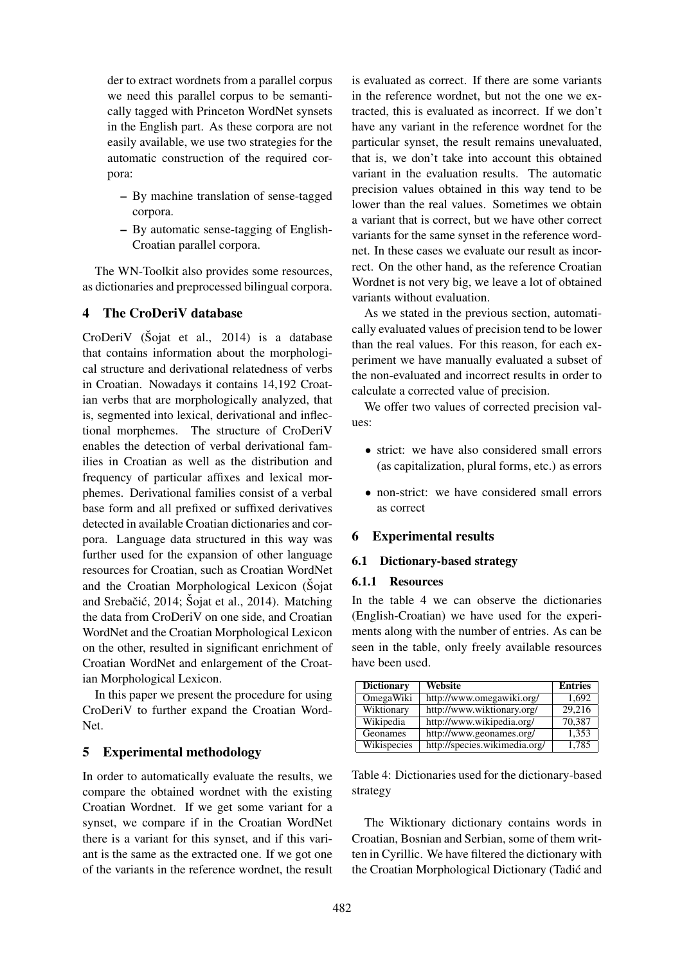der to extract wordnets from a parallel corpus we need this parallel corpus to be semantically tagged with Princeton WordNet synsets in the English part. As these corpora are not easily available, we use two strategies for the automatic construction of the required corpora:

- By machine translation of sense-tagged corpora.
- By automatic sense-tagging of English-Croatian parallel corpora.

The WN-Toolkit also provides some resources, as dictionaries and preprocessed bilingual corpora.

## 4 The CroDeriV database

CroDeriV (Sojat et al., 2014) is a database that contains information about the morphological structure and derivational relatedness of verbs in Croatian. Nowadays it contains 14,192 Croatian verbs that are morphologically analyzed, that is, segmented into lexical, derivational and inflectional morphemes. The structure of CroDeriV enables the detection of verbal derivational families in Croatian as well as the distribution and frequency of particular affixes and lexical morphemes. Derivational families consist of a verbal base form and all prefixed or suffixed derivatives detected in available Croatian dictionaries and corpora. Language data structured in this way was further used for the expansion of other language resources for Croatian, such as Croatian WordNet and the Croatian Morphological Lexicon (Sojat and Srebačić, 2014; Šojat et al., 2014). Matching the data from CroDeriV on one side, and Croatian WordNet and the Croatian Morphological Lexicon on the other, resulted in significant enrichment of Croatian WordNet and enlargement of the Croatian Morphological Lexicon.

In this paper we present the procedure for using CroDeriV to further expand the Croatian Word-Net.

## 5 Experimental methodology

In order to automatically evaluate the results, we compare the obtained wordnet with the existing Croatian Wordnet. If we get some variant for a synset, we compare if in the Croatian WordNet there is a variant for this synset, and if this variant is the same as the extracted one. If we got one of the variants in the reference wordnet, the result

is evaluated as correct. If there are some variants in the reference wordnet, but not the one we extracted, this is evaluated as incorrect. If we don't have any variant in the reference wordnet for the particular synset, the result remains unevaluated, that is, we don't take into account this obtained variant in the evaluation results. The automatic precision values obtained in this way tend to be lower than the real values. Sometimes we obtain a variant that is correct, but we have other correct variants for the same synset in the reference wordnet. In these cases we evaluate our result as incorrect. On the other hand, as the reference Croatian Wordnet is not very big, we leave a lot of obtained variants without evaluation.

As we stated in the previous section, automatically evaluated values of precision tend to be lower than the real values. For this reason, for each experiment we have manually evaluated a subset of the non-evaluated and incorrect results in order to calculate a corrected value of precision.

We offer two values of corrected precision values:

- strict: we have also considered small errors (as capitalization, plural forms, etc.) as errors
- non-strict: we have considered small errors as correct

## 6 Experimental results

## 6.1 Dictionary-based strategy

#### 6.1.1 Resources

In the table 4 we can observe the dictionaries (English-Croatian) we have used for the experiments along with the number of entries. As can be seen in the table, only freely available resources have been used.

| <b>Dictionary</b> | Website                       | <b>Entries</b> |
|-------------------|-------------------------------|----------------|
| OmegaWiki         | http://www.omegawiki.org/     | 1.692          |
| Wiktionary        | http://www.wiktionary.org/    | 29,216         |
| Wikipedia         | http://www.wikipedia.org/     | 70,387         |
| Geonames          | http://www.geonames.org/      | 1,353          |
| Wikispecies       | http://species.wikimedia.org/ | 1,785          |

Table 4: Dictionaries used for the dictionary-based strategy

The Wiktionary dictionary contains words in Croatian, Bosnian and Serbian, some of them written in Cyrillic. We have filtered the dictionary with the Croatian Morphological Dictionary (Tadic and ´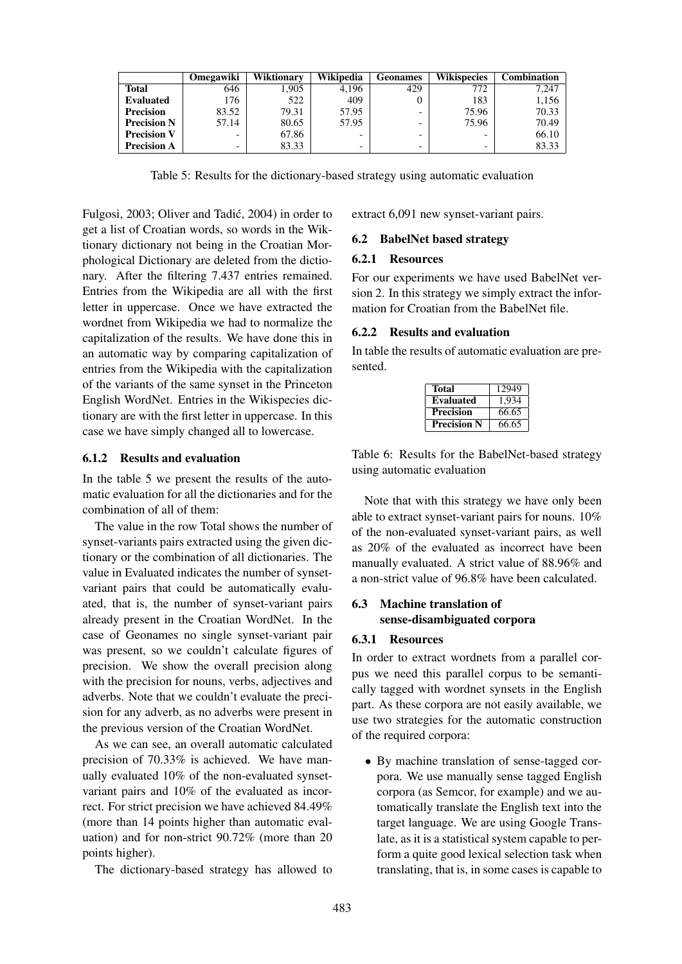|                    | Omegawiki | Wiktionary | Wikipedia                | <b>Geonames</b>          | <b>Wikispecies</b> | Combination |
|--------------------|-----------|------------|--------------------------|--------------------------|--------------------|-------------|
| <b>Total</b>       | 646       | .905       | 4.196                    | 429                      | 772                | 7,247       |
| <b>Evaluated</b>   | 176       | 522        | 409                      |                          | 183                | 1,156       |
| <b>Precision</b>   | 83.52     | 79.31      | 57.95                    | -                        | 75.96              | 70.33       |
| <b>Precision N</b> | 57.14     | 80.65      | 57.95                    | $\overline{\phantom{0}}$ | 75.96              | 70.49       |
| <b>Precision V</b> | -         | 67.86      | $\overline{\phantom{0}}$ | $\overline{\phantom{0}}$ |                    | 66.10       |
| <b>Precision A</b> | -         | 83.33      | $\overline{\phantom{0}}$ | $\overline{\phantom{0}}$ |                    | 83.33       |

Table 5: Results for the dictionary-based strategy using automatic evaluation

Fulgosi, 2003; Oliver and Tadic, 2004) in order to ´ get a list of Croatian words, so words in the Wiktionary dictionary not being in the Croatian Morphological Dictionary are deleted from the dictionary. After the filtering 7.437 entries remained. Entries from the Wikipedia are all with the first letter in uppercase. Once we have extracted the wordnet from Wikipedia we had to normalize the capitalization of the results. We have done this in an automatic way by comparing capitalization of entries from the Wikipedia with the capitalization of the variants of the same synset in the Princeton English WordNet. Entries in the Wikispecies dictionary are with the first letter in uppercase. In this case we have simply changed all to lowercase.

#### 6.1.2 Results and evaluation

In the table 5 we present the results of the automatic evaluation for all the dictionaries and for the combination of all of them:

The value in the row Total shows the number of synset-variants pairs extracted using the given dictionary or the combination of all dictionaries. The value in Evaluated indicates the number of synsetvariant pairs that could be automatically evaluated, that is, the number of synset-variant pairs already present in the Croatian WordNet. In the case of Geonames no single synset-variant pair was present, so we couldn't calculate figures of precision. We show the overall precision along with the precision for nouns, verbs, adjectives and adverbs. Note that we couldn't evaluate the precision for any adverb, as no adverbs were present in the previous version of the Croatian WordNet.

As we can see, an overall automatic calculated precision of 70.33% is achieved. We have manually evaluated 10% of the non-evaluated synsetvariant pairs and 10% of the evaluated as incorrect. For strict precision we have achieved 84.49% (more than 14 points higher than automatic evaluation) and for non-strict 90.72% (more than 20 points higher).

The dictionary-based strategy has allowed to

extract 6,091 new synset-variant pairs.

#### 6.2 BabelNet based strategy

#### 6.2.1 Resources

For our experiments we have used BabelNet version 2. In this strategy we simply extract the information for Croatian from the BabelNet file.

### 6.2.2 Results and evaluation

In table the results of automatic evaluation are presented.

| Total              | 12949 |
|--------------------|-------|
| <b>Evaluated</b>   | 1,934 |
| <b>Precision</b>   | 66.65 |
| <b>Precision N</b> | 66.65 |

Table 6: Results for the BabelNet-based strategy using automatic evaluation

Note that with this strategy we have only been able to extract synset-variant pairs for nouns. 10% of the non-evaluated synset-variant pairs, as well as 20% of the evaluated as incorrect have been manually evaluated. A strict value of 88.96% and a non-strict value of 96.8% have been calculated.

## 6.3 Machine translation of sense-disambiguated corpora

## 6.3.1 Resources

In order to extract wordnets from a parallel corpus we need this parallel corpus to be semantically tagged with wordnet synsets in the English part. As these corpora are not easily available, we use two strategies for the automatic construction of the required corpora:

• By machine translation of sense-tagged corpora. We use manually sense tagged English corpora (as Semcor, for example) and we automatically translate the English text into the target language. We are using Google Translate, as it is a statistical system capable to perform a quite good lexical selection task when translating, that is, in some cases is capable to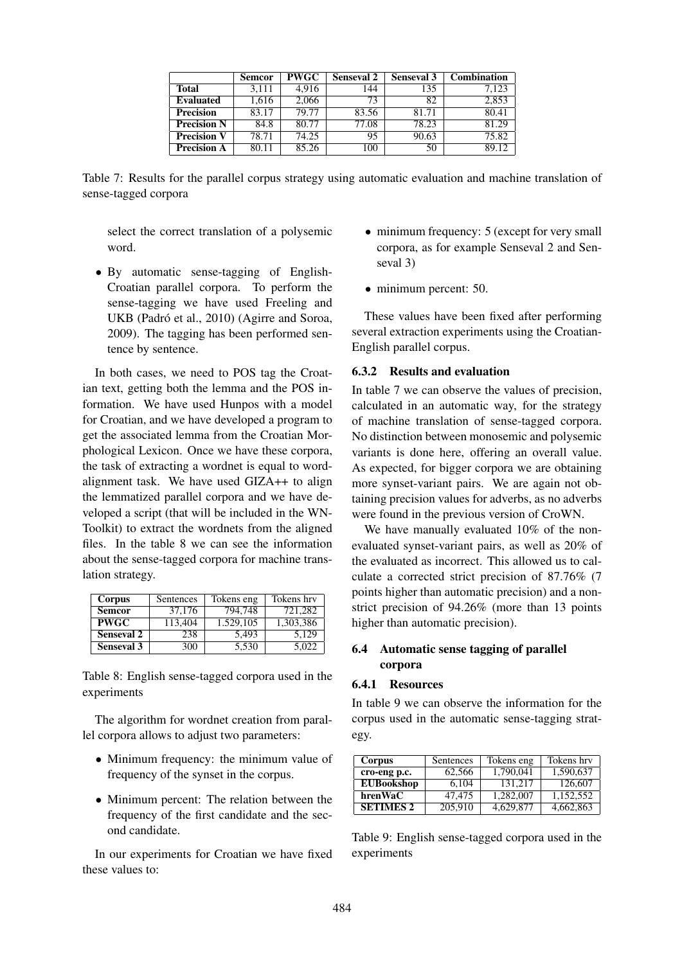|                    | <b>Semcor</b> | PWGC  | <b>Senseval 2</b> | <b>Senseval 3</b> | <b>Combination</b> |
|--------------------|---------------|-------|-------------------|-------------------|--------------------|
| <b>Total</b>       | 3.111         | 4.916 | 144               | 135               | 7.123              |
| <b>Evaluated</b>   | 1.616         | 2.066 | 73                | 82                | 2.853              |
| <b>Precision</b>   | 83.17         | 79.77 | 83.56             | 81.71             | 80.41              |
| <b>Precision N</b> | 84.8          | 80.77 | 77.08             | 78.23             | 81.29              |
| <b>Precision V</b> | 78.71         | 74.25 | 95                | 90.63             | 75.82              |
| <b>Precision A</b> | 80.11         | 85.26 | 100               | 50                | 89.12              |

Table 7: Results for the parallel corpus strategy using automatic evaluation and machine translation of sense-tagged corpora

select the correct translation of a polysemic word.

• By automatic sense-tagging of English-Croatian parallel corpora. To perform the sense-tagging we have used Freeling and UKB (Padró et al., 2010) (Agirre and Soroa, 2009). The tagging has been performed sentence by sentence.

In both cases, we need to POS tag the Croatian text, getting both the lemma and the POS information. We have used Hunpos with a model for Croatian, and we have developed a program to get the associated lemma from the Croatian Morphological Lexicon. Once we have these corpora, the task of extracting a wordnet is equal to wordalignment task. We have used GIZA++ to align the lemmatized parallel corpora and we have developed a script (that will be included in the WN-Toolkit) to extract the wordnets from the aligned files. In the table 8 we can see the information about the sense-tagged corpora for machine translation strategy.

| Corpus            | Sentences | Tokens eng | Tokens hrv |
|-------------------|-----------|------------|------------|
| <b>Semcor</b>     | 37,176    | 794.748    | 721.282    |
| <b>PWGC</b>       | 113,404   | 1.529.105  | 1,303,386  |
| <b>Senseval 2</b> | 238       | 5.493      | 5.129      |
| <b>Senseval 3</b> | 300       | 5,530      | 5.022      |

Table 8: English sense-tagged corpora used in the experiments

The algorithm for wordnet creation from parallel corpora allows to adjust two parameters:

- Minimum frequency: the minimum value of frequency of the synset in the corpus.
- Minimum percent: The relation between the frequency of the first candidate and the second candidate.

In our experiments for Croatian we have fixed these values to:

- minimum frequency: 5 (except for very small corpora, as for example Senseval 2 and Senseval 3)
- minimum percent: 50.

These values have been fixed after performing several extraction experiments using the Croatian-English parallel corpus.

#### 6.3.2 Results and evaluation

In table 7 we can observe the values of precision, calculated in an automatic way, for the strategy of machine translation of sense-tagged corpora. No distinction between monosemic and polysemic variants is done here, offering an overall value. As expected, for bigger corpora we are obtaining more synset-variant pairs. We are again not obtaining precision values for adverbs, as no adverbs were found in the previous version of CroWN.

We have manually evaluated 10% of the nonevaluated synset-variant pairs, as well as 20% of the evaluated as incorrect. This allowed us to calculate a corrected strict precision of 87.76% (7 points higher than automatic precision) and a nonstrict precision of 94.26% (more than 13 points higher than automatic precision).

### 6.4 Automatic sense tagging of parallel corpora

#### 6.4.1 Resources

In table 9 we can observe the information for the corpus used in the automatic sense-tagging strategy.

| Corpus            | Sentences | Tokens eng | Tokens hrv |
|-------------------|-----------|------------|------------|
| cro-eng p.c.      | 62.566    | 1.790.041  | 1.590.637  |
| <b>EUBookshop</b> | 6.104     | 131.217    | 126,607    |
| hrenWaC           | 47.475    | 1.282,007  | 1,152,552  |
| <b>SETIMES 2</b>  | 205,910   | 4.629.877  | 4.662.863  |

Table 9: English sense-tagged corpora used in the experiments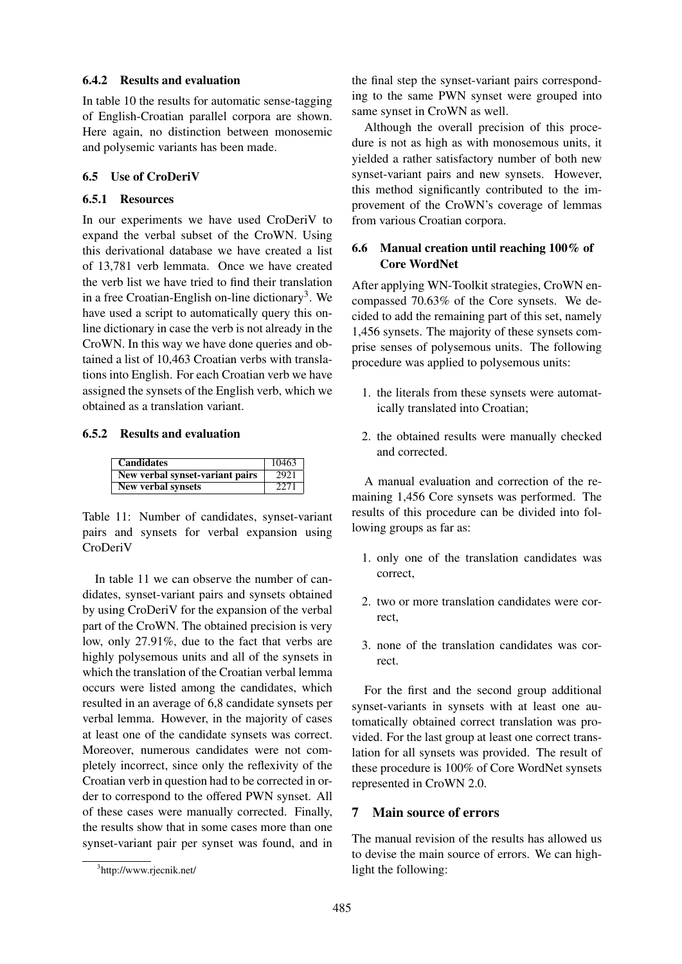#### 6.4.2 Results and evaluation

In table 10 the results for automatic sense-tagging of English-Croatian parallel corpora are shown. Here again, no distinction between monosemic and polysemic variants has been made.

## 6.5 Use of CroDeriV

### 6.5.1 Resources

In our experiments we have used CroDeriV to expand the verbal subset of the CroWN. Using this derivational database we have created a list of 13,781 verb lemmata. Once we have created the verb list we have tried to find their translation in a free Croatian-English on-line dictionary<sup>3</sup>. We have used a script to automatically query this online dictionary in case the verb is not already in the CroWN. In this way we have done queries and obtained a list of 10,463 Croatian verbs with translations into English. For each Croatian verb we have assigned the synsets of the English verb, which we obtained as a translation variant.

#### 6.5.2 Results and evaluation

| <b>Candidates</b>               | 10463 |
|---------------------------------|-------|
| New verbal synset-variant pairs | 2921  |
| <b>New verbal synsets</b>       | 2271  |

Table 11: Number of candidates, synset-variant pairs and synsets for verbal expansion using CroDeriV

In table 11 we can observe the number of candidates, synset-variant pairs and synsets obtained by using CroDeriV for the expansion of the verbal part of the CroWN. The obtained precision is very low, only 27.91%, due to the fact that verbs are highly polysemous units and all of the synsets in which the translation of the Croatian verbal lemma occurs were listed among the candidates, which resulted in an average of 6,8 candidate synsets per verbal lemma. However, in the majority of cases at least one of the candidate synsets was correct. Moreover, numerous candidates were not completely incorrect, since only the reflexivity of the Croatian verb in question had to be corrected in order to correspond to the offered PWN synset. All of these cases were manually corrected. Finally, the results show that in some cases more than one synset-variant pair per synset was found, and in the final step the synset-variant pairs corresponding to the same PWN synset were grouped into same synset in CroWN as well.

Although the overall precision of this procedure is not as high as with monosemous units, it yielded a rather satisfactory number of both new synset-variant pairs and new synsets. However, this method significantly contributed to the improvement of the CroWN's coverage of lemmas from various Croatian corpora.

## 6.6 Manual creation until reaching 100% of Core WordNet

After applying WN-Toolkit strategies, CroWN encompassed 70.63% of the Core synsets. We decided to add the remaining part of this set, namely 1,456 synsets. The majority of these synsets comprise senses of polysemous units. The following procedure was applied to polysemous units:

- 1. the literals from these synsets were automatically translated into Croatian;
- 2. the obtained results were manually checked and corrected.

A manual evaluation and correction of the remaining 1,456 Core synsets was performed. The results of this procedure can be divided into following groups as far as:

- 1. only one of the translation candidates was correct,
- 2. two or more translation candidates were correct,
- 3. none of the translation candidates was correct.

For the first and the second group additional synset-variants in synsets with at least one automatically obtained correct translation was provided. For the last group at least one correct translation for all synsets was provided. The result of these procedure is 100% of Core WordNet synsets represented in CroWN 2.0.

## 7 Main source of errors

The manual revision of the results has allowed us to devise the main source of errors. We can highlight the following:

<sup>3</sup> http://www.rjecnik.net/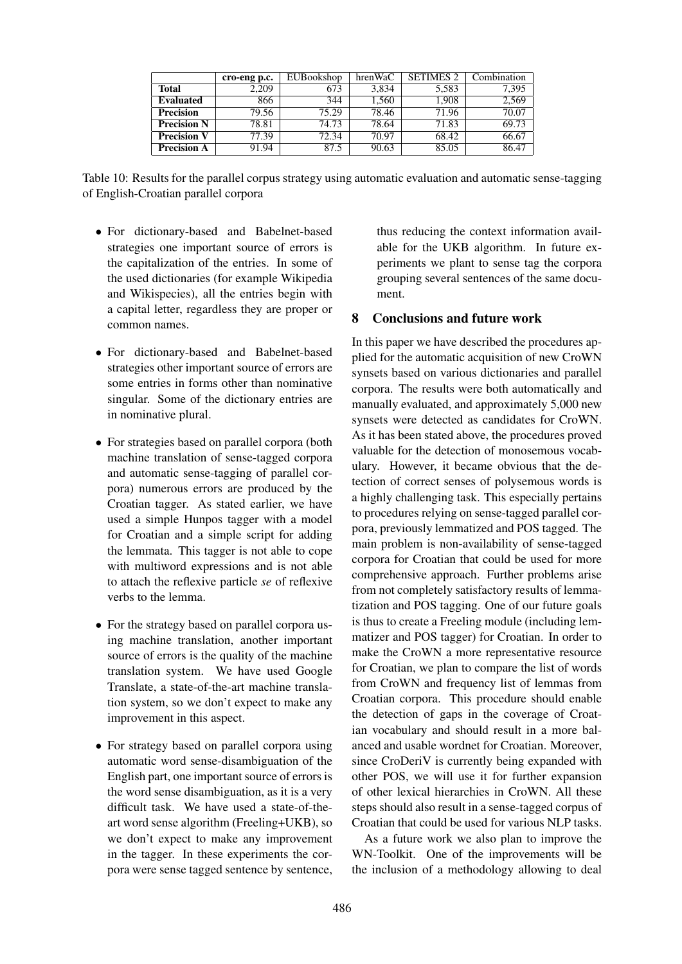|                    | cro-eng p.c. | EUBookshop | hrenWaC | <b>SETIMES 2</b> | Combination |
|--------------------|--------------|------------|---------|------------------|-------------|
| <b>Total</b>       | 2.209        | 673        | 3.834   | 5,583            | 7,395       |
| <b>Evaluated</b>   | 866          | 344        | 1.560   | 1.908            | 2,569       |
| <b>Precision</b>   | 79.56        | 75.29      | 78.46   | 71.96            | 70.07       |
| <b>Precision N</b> | 78.81        | 74.73      | 78.64   | 71.83            | 69.73       |
| <b>Precision V</b> | 77.39        | 72.34      | 70.97   | 68.42            | 66.67       |
| <b>Precision A</b> | 91.94        | 87.5       | 90.63   | 85.05            | 86.47       |

Table 10: Results for the parallel corpus strategy using automatic evaluation and automatic sense-tagging of English-Croatian parallel corpora

- For dictionary-based and Babelnet-based strategies one important source of errors is the capitalization of the entries. In some of the used dictionaries (for example Wikipedia and Wikispecies), all the entries begin with a capital letter, regardless they are proper or common names.
- For dictionary-based and Babelnet-based strategies other important source of errors are some entries in forms other than nominative singular. Some of the dictionary entries are in nominative plural.
- For strategies based on parallel corpora (both machine translation of sense-tagged corpora and automatic sense-tagging of parallel corpora) numerous errors are produced by the Croatian tagger. As stated earlier, we have used a simple Hunpos tagger with a model for Croatian and a simple script for adding the lemmata. This tagger is not able to cope with multiword expressions and is not able to attach the reflexive particle *se* of reflexive verbs to the lemma.
- For the strategy based on parallel corpora using machine translation, another important source of errors is the quality of the machine translation system. We have used Google Translate, a state-of-the-art machine translation system, so we don't expect to make any improvement in this aspect.
- For strategy based on parallel corpora using automatic word sense-disambiguation of the English part, one important source of errors is the word sense disambiguation, as it is a very difficult task. We have used a state-of-theart word sense algorithm (Freeling+UKB), so we don't expect to make any improvement in the tagger. In these experiments the corpora were sense tagged sentence by sentence,

thus reducing the context information available for the UKB algorithm. In future experiments we plant to sense tag the corpora grouping several sentences of the same document.

## 8 Conclusions and future work

In this paper we have described the procedures applied for the automatic acquisition of new CroWN synsets based on various dictionaries and parallel corpora. The results were both automatically and manually evaluated, and approximately 5,000 new synsets were detected as candidates for CroWN. As it has been stated above, the procedures proved valuable for the detection of monosemous vocabulary. However, it became obvious that the detection of correct senses of polysemous words is a highly challenging task. This especially pertains to procedures relying on sense-tagged parallel corpora, previously lemmatized and POS tagged. The main problem is non-availability of sense-tagged corpora for Croatian that could be used for more comprehensive approach. Further problems arise from not completely satisfactory results of lemmatization and POS tagging. One of our future goals is thus to create a Freeling module (including lemmatizer and POS tagger) for Croatian. In order to make the CroWN a more representative resource for Croatian, we plan to compare the list of words from CroWN and frequency list of lemmas from Croatian corpora. This procedure should enable the detection of gaps in the coverage of Croatian vocabulary and should result in a more balanced and usable wordnet for Croatian. Moreover, since CroDeriV is currently being expanded with other POS, we will use it for further expansion of other lexical hierarchies in CroWN. All these steps should also result in a sense-tagged corpus of Croatian that could be used for various NLP tasks.

As a future work we also plan to improve the WN-Toolkit. One of the improvements will be the inclusion of a methodology allowing to deal